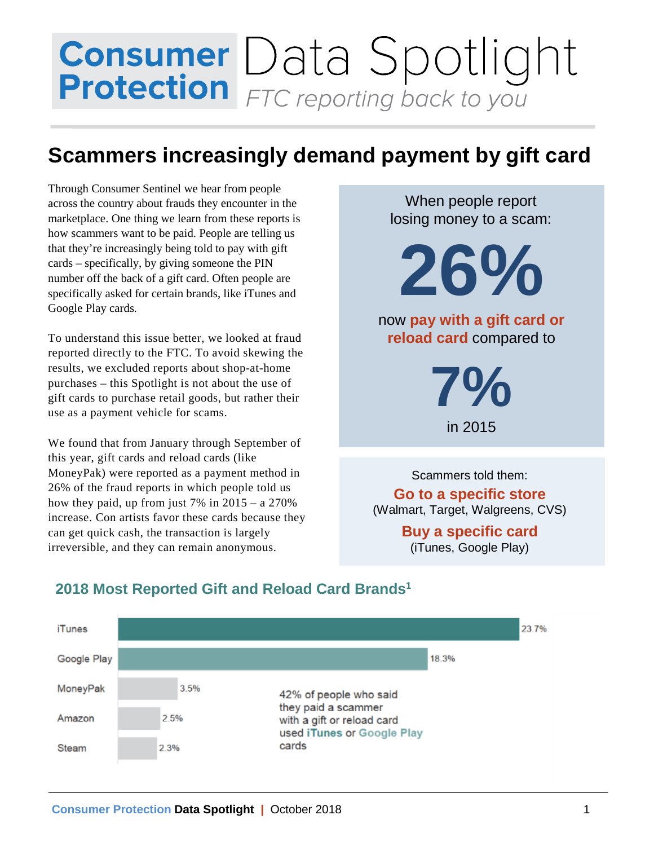## **Consumer** Data Spotlight<br>**Protection** FTC reporting back to you

## **Scammers increasingly demand payment by gift card**

Through Consumer Sentinel we hear from people across the country about frauds they encounter in the marketplace. One thing we learn from these reports is how scammers want to be paid. People are telling us that they're increasingly being told to pay with gift cards – specifically, by giving someone the PIN number off the back of a gift card. Often people are specifically asked for certain brands, like iTunes and Google Play cards*.*

To understand this issue better, we looked at fraud reported directly to the FTC. To avoid skewing the results, we excluded reports about shop-at-home purchases – this Spotlight is not about the use of gift cards to purchase retail goods, but rather their use as a payment vehicle for scams.

We found that from January through September of this year, gift cards and reload cards (like MoneyPak) were reported as a payment method in 26% of the fraud reports in which people told us how they paid, up from just  $7\%$  in  $2015 - a$  270% increase. Con artists favor these cards because they can get quick cash, the transaction is largely irreversible, and they can remain anonymous.

When people report losing money to a scam:

**2 6%**

now **pay with a gift card or reload card** compared to

> **7%**  in 2015

Scammers told them: **Go to a specific store** (Walmart, Target, Walgreens, CVS)

> **Buy a specific card**  (iTunes, Google Play)

| iTunes      |      |      |                                                                                                                    |       | 23.7% |
|-------------|------|------|--------------------------------------------------------------------------------------------------------------------|-------|-------|
| Google Play |      |      |                                                                                                                    | 18.3% |       |
| MoneyPak    |      | 3.5% | 42% of people who said<br>they paid a scammer<br>with a gift or reload card<br>used iTunes or Google Play<br>cards |       |       |
| Amazon      | 2.5% |      |                                                                                                                    |       |       |
| Steam       | 2.3% |      |                                                                                                                    |       |       |

## **2018 Most Reported Gift and Reload Card Brands1**